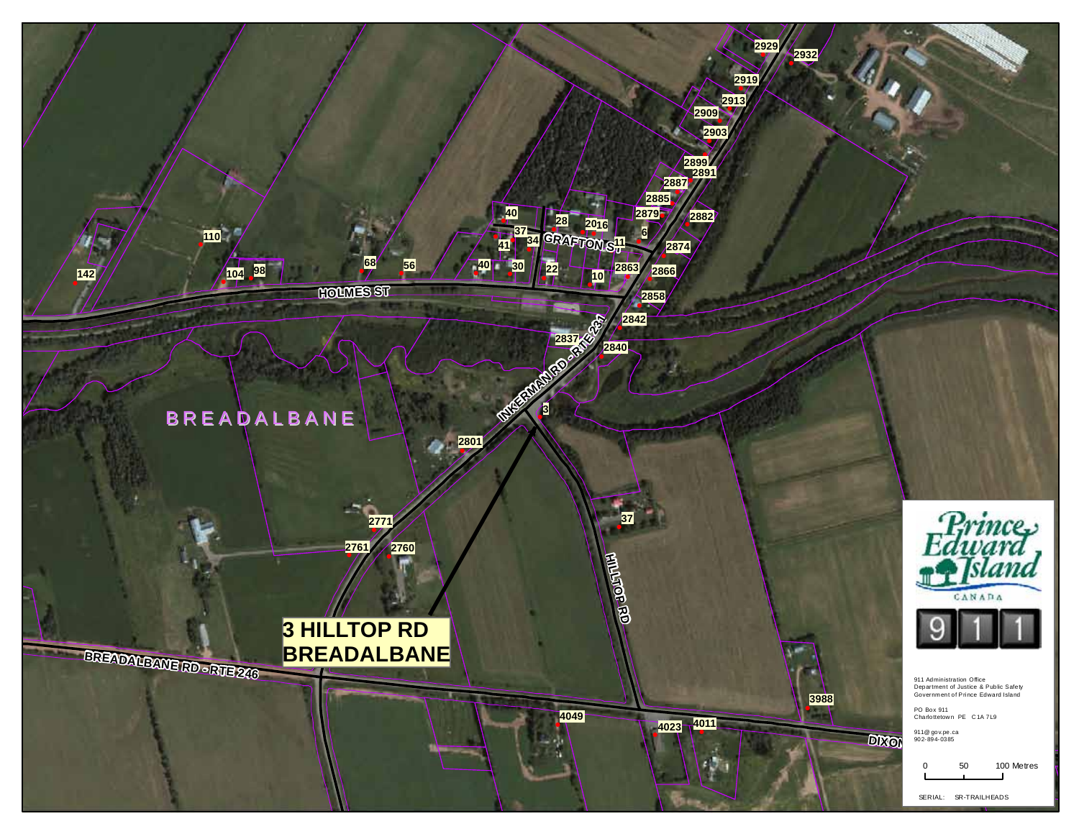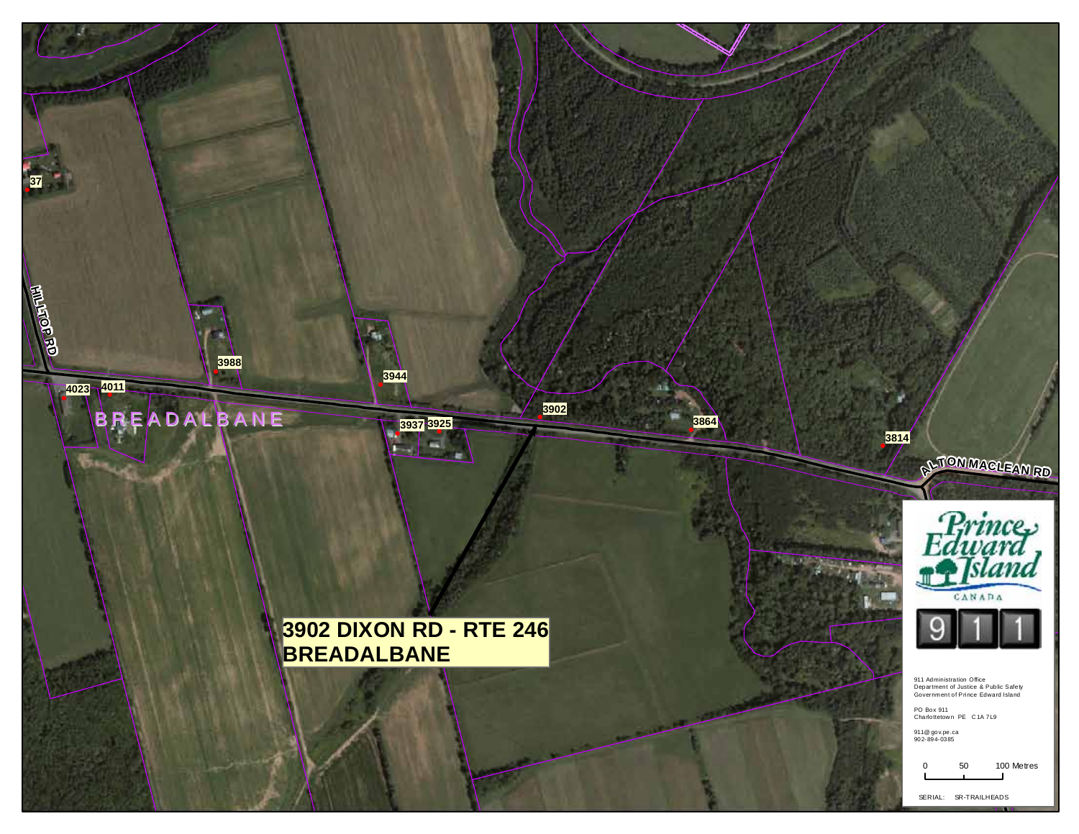